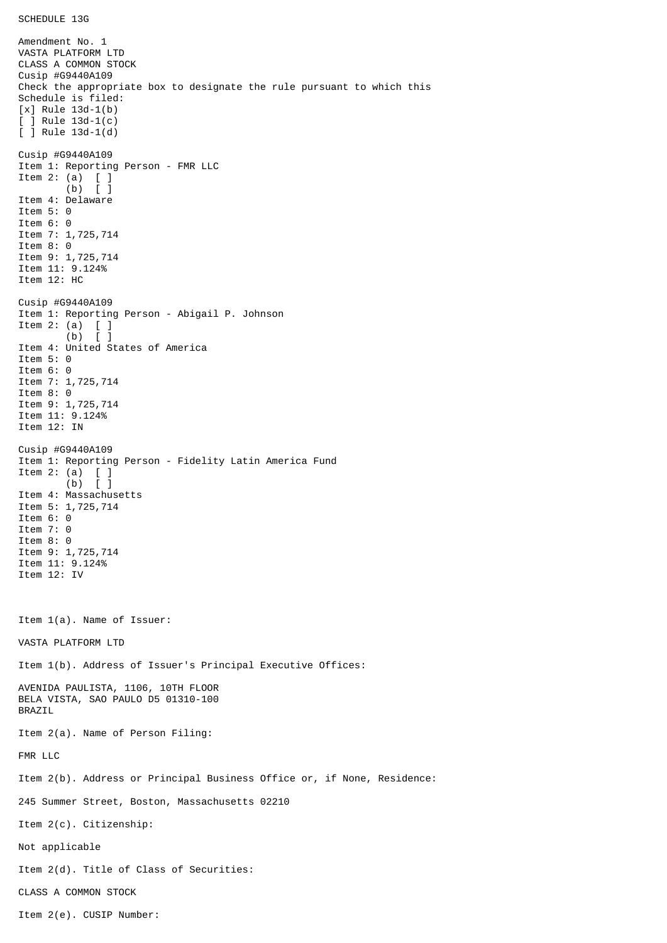Amendment No. 1 VASTA PLATFORM LTD CLASS A COMMON STOCK Cusip #G9440A109 Check the appropriate box to designate the rule pursuant to which this Schedule is filed: [x] Rule 13d-1(b) [ ] Rule 13d-1(c) [ ] Rule 13d-1(d) Cusip #G9440A109 Item 1: Reporting Person - FMR LLC Item 2: (a) [ ] (b) [ ] Item 4: Delaware Item 5: 0 Item 6: 0 Item 7: 1,725,714 Item 8: 0 Item 9: 1,725,714 Item 11: 9.124% Item 12: HC Cusip #G9440A109 Item 1: Reporting Person - Abigail P. Johnson Item 2: (a)  $\begin{bmatrix} 1 \\ 0 \end{bmatrix}$  $(b)$ Item 4: United States of America Item 5: 0 Item 6: 0 Item 7: 1,725,714 Item 8: 0 Item 9: 1,725,714 Item 11: 9.124% Item 12: IN Cusip #G9440A109 Item 1: Reporting Person - Fidelity Latin America Fund Item 2: (a) [ ]  $(b)$   $\bar{1}$ Item 4: Massachusetts Item 5: 1,725,714 Item 6: 0 Item 7: 0 Item 8: 0 Item 9: 1,725,714 Item 11: 9.124% Item 12: IV Item 1(a). Name of Issuer: VASTA PLATFORM LTD Item 1(b). Address of Issuer's Principal Executive Offices: AVENIDA PAULISTA, 1106, 10TH FLOOR BELA VISTA, SAO PAULO D5 01310-100 BRAZIL Item 2(a). Name of Person Filing: FMR LLC Item 2(b). Address or Principal Business Office or, if None, Residence: 245 Summer Street, Boston, Massachusetts 02210 Item 2(c). Citizenship: Not applicable Item 2(d). Title of Class of Securities: CLASS A COMMON STOCK Item 2(e). CUSIP Number: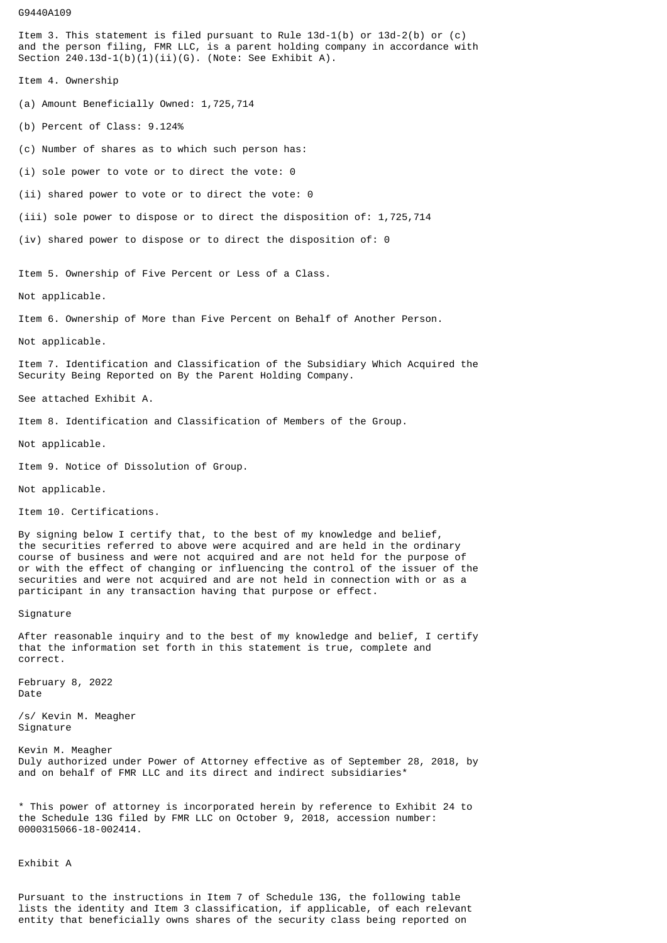## G9440A109

Item 3. This statement is filed pursuant to Rule 13d-1(b) or 13d-2(b) or (c) and the person filing, FMR LLC, is a parent holding company in accordance with Section  $240.13d-1(b)(1)(ii)(G)$ . (Note: See Exhibit A).

Item 4. Ownership

(a) Amount Beneficially Owned: 1,725,714

(b) Percent of Class: 9.124%

(c) Number of shares as to which such person has:

(i) sole power to vote or to direct the vote: 0

(ii) shared power to vote or to direct the vote: 0

(iii) sole power to dispose or to direct the disposition of: 1,725,714

(iv) shared power to dispose or to direct the disposition of: 0

Item 5. Ownership of Five Percent or Less of a Class.

Not applicable.

Item 6. Ownership of More than Five Percent on Behalf of Another Person.

Not applicable.

Item 7. Identification and Classification of the Subsidiary Which Acquired the Security Being Reported on By the Parent Holding Company.

See attached Exhibit A.

Item 8. Identification and Classification of Members of the Group.

Not applicable.

Item 9. Notice of Dissolution of Group.

## Not applicable.

Item 10. Certifications.

By signing below I certify that, to the best of my knowledge and belief, the securities referred to above were acquired and are held in the ordinary course of business and were not acquired and are not held for the purpose of or with the effect of changing or influencing the control of the issuer of the securities and were not acquired and are not held in connection with or as a participant in any transaction having that purpose or effect.

Signature

After reasonable inquiry and to the best of my knowledge and belief, I certify that the information set forth in this statement is true, complete and correct.

February 8, 2022 Date

/s/ Kevin M. Meagher Signature

Kevin M. Meagher Duly authorized under Power of Attorney effective as of September 28, 2018, by and on behalf of FMR LLC and its direct and indirect subsidiaries<sup>\*</sup>

\* This power of attorney is incorporated herein by reference to Exhibit 24 to the Schedule 13G filed by FMR LLC on October 9, 2018, accession number: 0000315066-18-002414.

Exhibit A

Pursuant to the instructions in Item 7 of Schedule 13G, the following table lists the identity and Item 3 classification, if applicable, of each relevant entity that beneficially owns shares of the security class being reported on